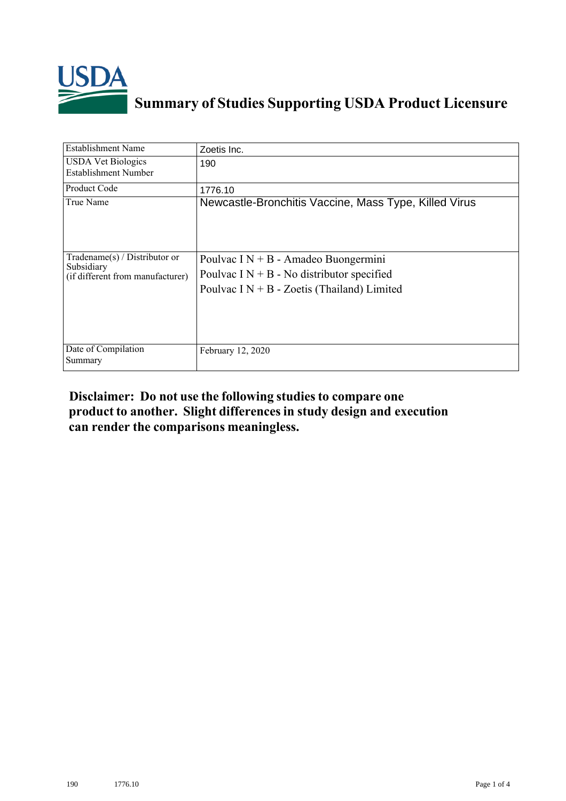

## **Summary of Studies Supporting USDA Product Licensure**

| <b>Establishment Name</b>                                                          | Zoetis Inc.                                                                                                                            |
|------------------------------------------------------------------------------------|----------------------------------------------------------------------------------------------------------------------------------------|
| <b>USDA Vet Biologics</b><br><b>Establishment Number</b>                           | 190                                                                                                                                    |
| Product Code                                                                       | 1776.10                                                                                                                                |
| True Name                                                                          | Newcastle-Bronchitis Vaccine, Mass Type, Killed Virus                                                                                  |
| Tradename $(s)$ / Distributor or<br>Subsidiary<br>(if different from manufacturer) | Poulvac I $N + B$ - Amadeo Buongermini<br>Poulvac $I N + B$ - No distributor specified<br>Poulvac $IN + B$ - Zoetis (Thailand) Limited |
| Date of Compilation<br>Summary                                                     | February 12, 2020                                                                                                                      |

## **Disclaimer: Do not use the following studiesto compare one product to another. Slight differencesin study design and execution can render the comparisons meaningless.**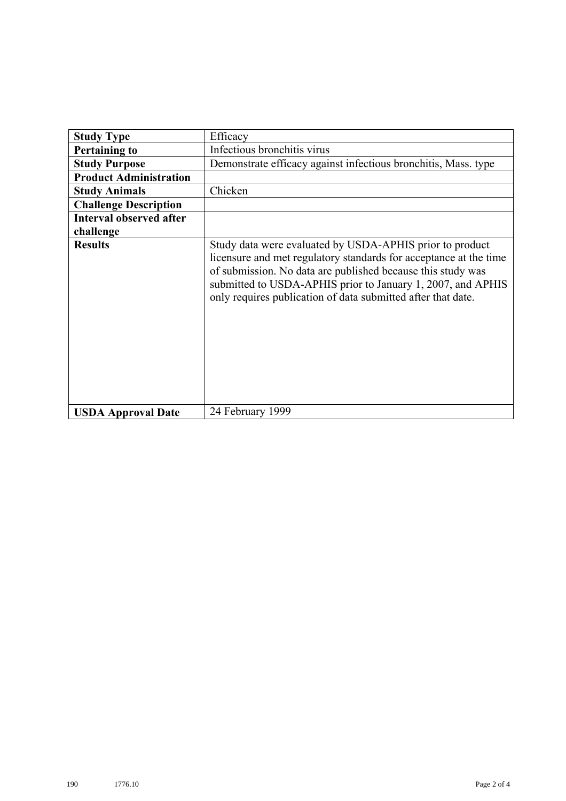| <b>Study Type</b>              | Efficacy                                                                                                                                                                                                                                                                                                                    |
|--------------------------------|-----------------------------------------------------------------------------------------------------------------------------------------------------------------------------------------------------------------------------------------------------------------------------------------------------------------------------|
| <b>Pertaining to</b>           | Infectious bronchitis virus                                                                                                                                                                                                                                                                                                 |
| <b>Study Purpose</b>           | Demonstrate efficacy against infectious bronchitis, Mass. type                                                                                                                                                                                                                                                              |
| <b>Product Administration</b>  |                                                                                                                                                                                                                                                                                                                             |
| <b>Study Animals</b>           | Chicken                                                                                                                                                                                                                                                                                                                     |
| <b>Challenge Description</b>   |                                                                                                                                                                                                                                                                                                                             |
| <b>Interval observed after</b> |                                                                                                                                                                                                                                                                                                                             |
| challenge                      |                                                                                                                                                                                                                                                                                                                             |
| <b>Results</b>                 | Study data were evaluated by USDA-APHIS prior to product<br>licensure and met regulatory standards for acceptance at the time<br>of submission. No data are published because this study was<br>submitted to USDA-APHIS prior to January 1, 2007, and APHIS<br>only requires publication of data submitted after that date. |
| <b>USDA Approval Date</b>      | 24 February 1999                                                                                                                                                                                                                                                                                                            |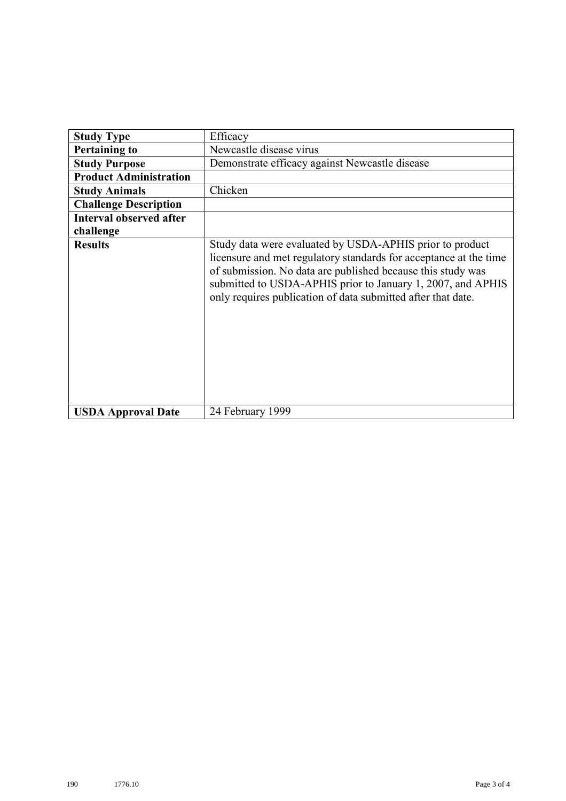| <b>Study Type</b>              | Efficacy                                                                                                                                                                                                                                                                                                                    |
|--------------------------------|-----------------------------------------------------------------------------------------------------------------------------------------------------------------------------------------------------------------------------------------------------------------------------------------------------------------------------|
| <b>Pertaining to</b>           | Newcastle disease virus                                                                                                                                                                                                                                                                                                     |
| <b>Study Purpose</b>           | Demonstrate efficacy against Newcastle disease                                                                                                                                                                                                                                                                              |
| <b>Product Administration</b>  |                                                                                                                                                                                                                                                                                                                             |
| <b>Study Animals</b>           | Chicken                                                                                                                                                                                                                                                                                                                     |
| <b>Challenge Description</b>   |                                                                                                                                                                                                                                                                                                                             |
| <b>Interval observed after</b> |                                                                                                                                                                                                                                                                                                                             |
| challenge                      |                                                                                                                                                                                                                                                                                                                             |
| <b>Results</b>                 | Study data were evaluated by USDA-APHIS prior to product<br>licensure and met regulatory standards for acceptance at the time<br>of submission. No data are published because this study was<br>submitted to USDA-APHIS prior to January 1, 2007, and APHIS<br>only requires publication of data submitted after that date. |
| <b>USDA Approval Date</b>      | 24 February 1999                                                                                                                                                                                                                                                                                                            |